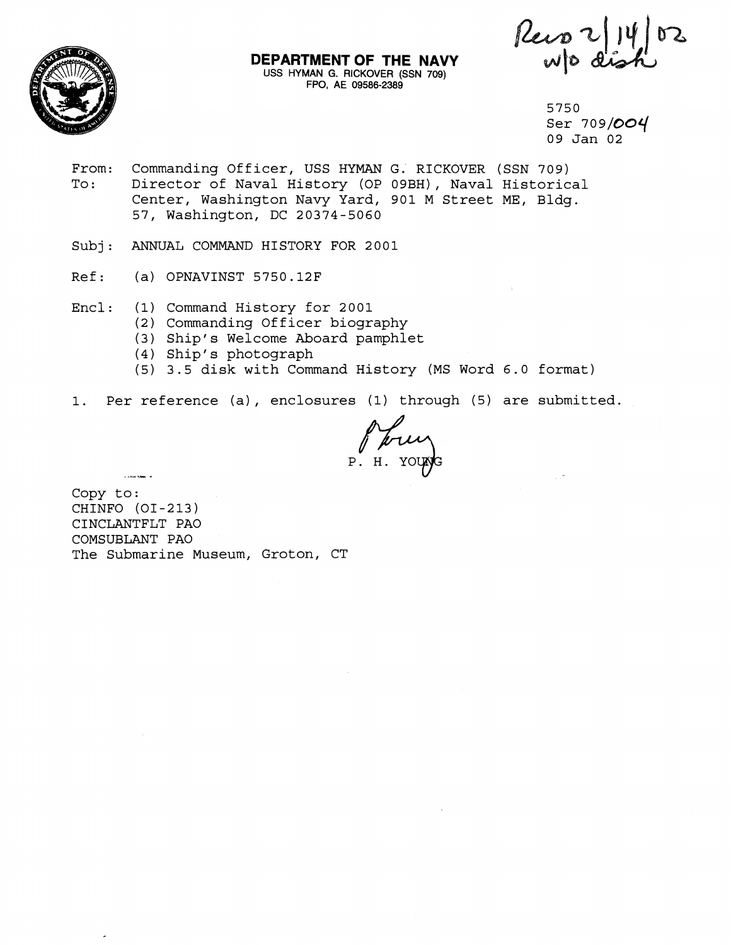

**DEPARTMENT OF THE NAVY**  USS HYMAN G. **RICKOVER** (SSN 709) **FPO, AE** 09586-2389

Reis 2/14/02

5750 Ser 709/004 09 Jan 02

- From: Commanding Officer, USS HYMAN G. RICKOVER (SSN 709)<br>To: Director of Naval History (OP 09BH), Naval Historic Director of Naval History (OP 09BH), Naval Historical Center, Washington Navy Yard, 901 M Street ME, Bldg. 57, Washington, DC 20374-5060
- Subj: ANNUAL COMMAND HISTORY FOR 2001
- Ref: (a) OPNAVINST 5750.12F
- Encl: (1) Command History for 2001
	- (2) Commanding Officer biography
	- (3) Ship's Welcome Aboard pamphlet
	- (4) Ship's photograph
	- (5) 3.5 disk with Command History (MS Word 6.0 format)
- 1. Per reference (a) , enclosures (1) through (5) are submitted.

Copy to: CHINFO (01-213) CINCLANTFLT PA0 COMSUBLANT PA0 The Submarine Museum, Groton, CT

.<br>Lista també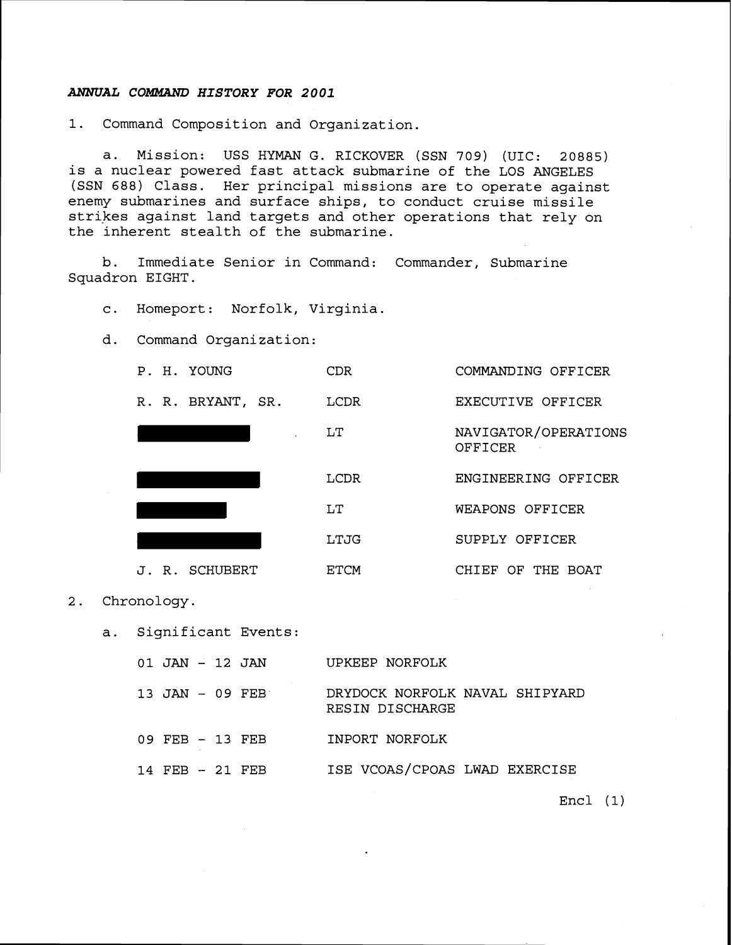## **ANNUAL** *COMMAND HISTORY FOR 2001*

**1.** Command Composition and Organization.

a. Mission: USS HYMAN G. RICKOVER (SSN **709)** (UIC: **20885)**  is a nuclear powered fast attack submarine of the LOS ANGELES (SSN **688)** Class. Her principal missions are to operate against enemy submarines and surface ships, to conduct cruise missile strikes against land targets and other operations that rely on the inherent stealth of the submarine.

b. Immediate Senior in Command: Commander, Submarine Squadron EIGHT.

c. Homeport: Norfolk, Virginia.

d. Command Organization:

| P. H. YOUNG       | CDR         | COMMANDING OFFICER              |
|-------------------|-------------|---------------------------------|
| R. R. BRYANT, SR. | LCDR        | EXECUTIVE OFFICER               |
|                   | LT          | NAVIGATOR/OPERATIONS<br>OFFICER |
|                   | <b>LCDR</b> | ENGINEERING OFFICER             |
|                   | LT          | WEAPONS OFFICER                 |
|                   | LTJG        | SUPPLY OFFICER                  |
| J. R. SCHUBERT    | <b>ETCM</b> | CHIEF OF THE<br>BOAT            |

- 2. Chronology.
	- a. Significant Events:

| $01$ JAN $-$ 12 JAN |  | UPKEEP NORFOLK                                    |
|---------------------|--|---------------------------------------------------|
| $13$ JAN $-$ 09 FEB |  | DRYDOCK NORFOLK NAVAL SHIPYARD<br>RESIN DISCHARGE |
| 09 FEB - 13 FEB     |  | INPORT NORFOLK                                    |
| $14$ FEB $-21$ FEB  |  | ISE VCOAS/CPOAS LWAD EXERCISE                     |

Encl (1)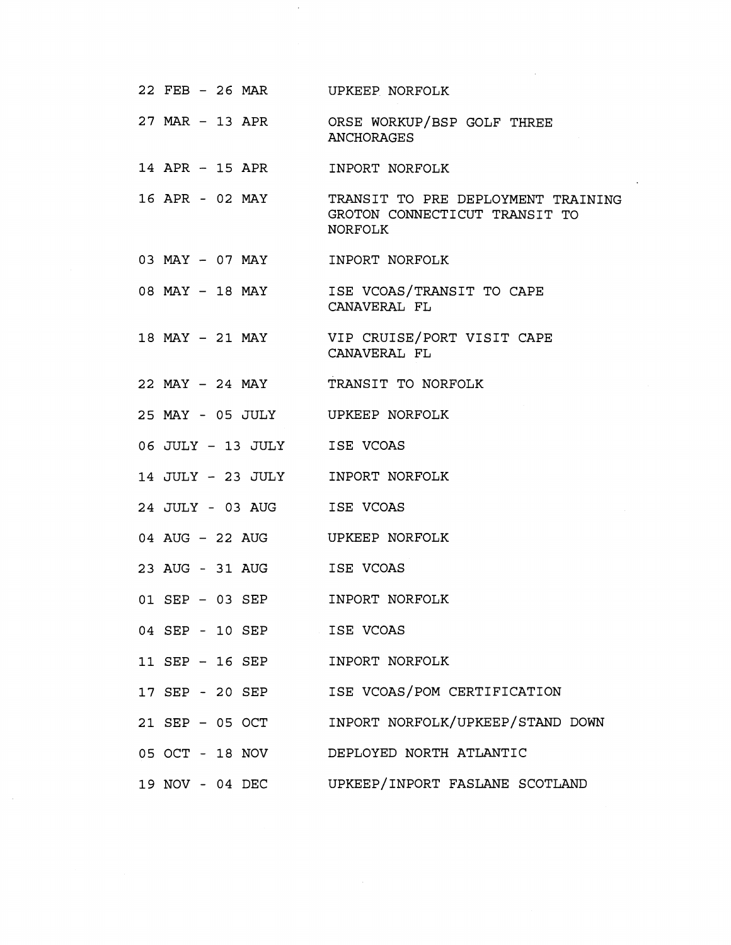| 22 FEB - 26 MAR UPKEEP NORFOLK  |                                                                                                |
|---------------------------------|------------------------------------------------------------------------------------------------|
|                                 | 27 MAR - 13 APR ORSE WORKUP/BSP GOLF THREE<br><b>ANCHORAGES</b>                                |
| 14 APR - 15 APR INPORT NORFOLK  |                                                                                                |
|                                 | 16 APR - 02 MAY TRANSIT TO PRE DEPLOYMENT TRAINING<br>GROTON CONNECTICUT TRANSIT TO<br>NORFOLK |
| 03 MAY - 07 MAY                 | INPORT NORFOLK                                                                                 |
|                                 | 08 MAY - 18 MAY ISE VCOAS/TRANSIT TO CAPE<br>CANAVERAL FL                                      |
|                                 | 18 MAY - 21 MAY VIP CRUISE/PORT VISIT CAPE<br>CANAVERAL FL                                     |
|                                 | 22 MAY - 24 MAY TRANSIT TO NORFOLK                                                             |
| 25 MAY - 05 JULY UPKEEP NORFOLK |                                                                                                |
| 06 JULY - 13 JULY               | ISE VCOAS                                                                                      |
| 14 JULY - 23 JULY               | INPORT NORFOLK                                                                                 |
| 24 JULY - 03 AUG                | ISE VCOAS                                                                                      |
| 04 AUG – 22 AUG                 | UPKEEP NORFOLK                                                                                 |
| 23 AUG - 31 AUG                 | ISE VCOAS                                                                                      |
| 01 SEP - 03 SEP                 | INPORT NORFOLK                                                                                 |
| 04 SEP - 10 SEP                 | ISE VCOAS                                                                                      |
| 11 SEP - 16 SEP                 | INPORT NORFOLK                                                                                 |
| 17 SEP - 20 SEP                 | ISE VCOAS/POM CERTIFICATION                                                                    |
| 21 SEP - 05 OCT                 | INPORT NORFOLK/UPKEEP/STAND DOWN                                                               |
| 05 OCT - 18 NOV                 | DEPLOYED NORTH ATLANTIC                                                                        |
| 19 NOV - 04 DEC                 | UPKEEP/INPORT FASLANE SCOTLAND                                                                 |

 $\sim 10^{-1}$